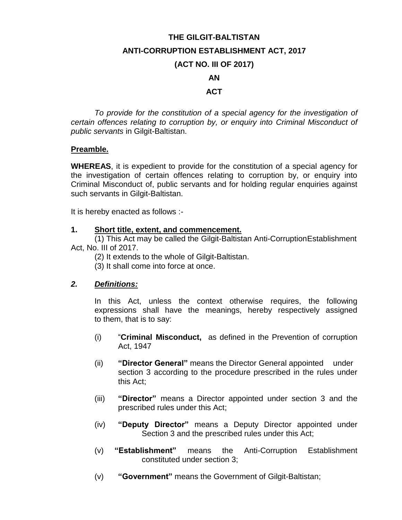### **THE GILGIT-BALTISTAN**

#### **ANTI-CORRUPTION ESTABLISHMENT ACT, 2017**

#### **(ACT NO. III OF 2017)**

### **AN**

### **ACT**

*To provide for the constitution of a special agency for the investigation of certain offences relating to corruption by, or enquiry into Criminal Misconduct of public servants* in Gilgit-Baltistan.

#### **Preamble.**

**WHEREAS**, it is expedient to provide for the constitution of a special agency for the investigation of certain offences relating to corruption by, or enquiry into Criminal Misconduct of, public servants and for holding regular enquiries against such servants in Gilgit-Baltistan.

It is hereby enacted as follows :-

### **1. Short title, extent, and commencement.**

(1) This Act may be called the Gilgit-Baltistan Anti-CorruptionEstablishment Act, No. III of 2017.

- (2) It extends to the whole of Gilgit-Baltistan.
- (3) It shall come into force at once.

## *2. Definitions:*

In this Act, unless the context otherwise requires, the following expressions shall have the meanings, hereby respectively assigned to them, that is to say:

- (i) "**Criminal Misconduct,** as defined in the Prevention of corruption Act, 1947
- (ii) **"Director General"** means the Director General appointed under section 3 according to the procedure prescribed in the rules under this Act;
- (iii) **"Director"** means a Director appointed under section 3 and the prescribed rules under this Act;
- (iv) **"Deputy Director"** means a Deputy Director appointed under Section 3 and the prescribed rules under this Act;
- (v) **"Establishment"** means the Anti-Corruption Establishment constituted under section 3;
- (v) **"Government"** means the Government of Gilgit-Baltistan;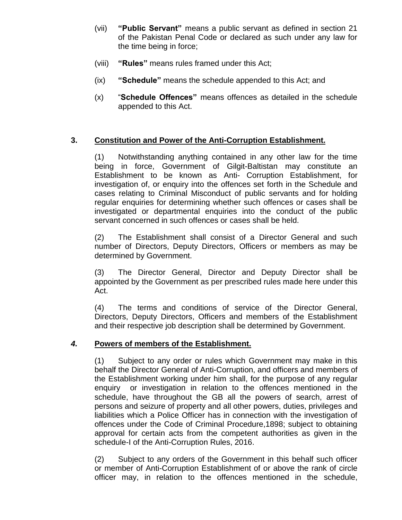- (vii) **"Public Servant"** means a public servant as defined in section 21 of the Pakistan Penal Code or declared as such under any law for the time being in force;
- (viii) **"Rules"** means rules framed under this Act;
- (ix) **"Schedule"** means the schedule appended to this Act; and
- (x) "**Schedule Offences"** means offences as detailed in the schedule appended to this Act.

# **3. Constitution and Power of the Anti-Corruption Establishment.**

(1) Notwithstanding anything contained in any other law for the time being in force, Government of Gilgit-Baltistan may constitute an Establishment to be known as Anti- Corruption Establishment, for investigation of, or enquiry into the offences set forth in the Schedule and cases relating to Criminal Misconduct of public servants and for holding regular enquiries for determining whether such offences or cases shall be investigated or departmental enquiries into the conduct of the public servant concerned in such offences or cases shall be held.

(2) The Establishment shall consist of a Director General and such number of Directors, Deputy Directors, Officers or members as may be determined by Government.

(3) The Director General, Director and Deputy Director shall be appointed by the Government as per prescribed rules made here under this Act.

(4) The terms and conditions of service of the Director General, Directors, Deputy Directors, Officers and members of the Establishment and their respective job description shall be determined by Government.

# *4.* **Powers of members of the Establishment.**

(1) Subject to any order or rules which Government may make in this behalf the Director General of Anti-Corruption, and officers and members of the Establishment working under him shall, for the purpose of any regular enquiry or investigation in relation to the offences mentioned in the schedule, have throughout the GB all the powers of search, arrest of persons and seizure of property and all other powers, duties, privileges and liabilities which a Police Officer has in connection with the investigation of offences under the Code of Criminal Procedure,1898; subject to obtaining approval for certain acts from the competent authorities as given in the schedule-I of the Anti-Corruption Rules, 2016.

(2) Subject to any orders of the Government in this behalf such officer or member of Anti-Corruption Establishment of or above the rank of circle officer may, in relation to the offences mentioned in the schedule,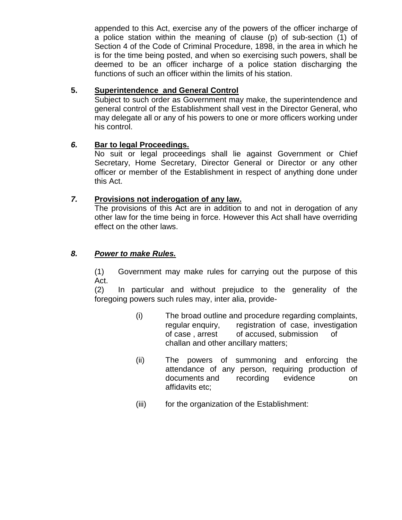appended to this Act, exercise any of the powers of the officer incharge of a police station within the meaning of clause (p) of sub-section (1) of Section 4 of the Code of Criminal Procedure, 1898, in the area in which he is for the time being posted, and when so exercising such powers, shall be deemed to be an officer incharge of a police station discharging the functions of such an officer within the limits of his station.

# **5. Superintendence and General Control**

Subject to such order as Government may make, the superintendence and general control of the Establishment shall vest in the Director General, who may delegate all or any of his powers to one or more officers working under his control.

# *6.* **Bar to legal Proceedings.**

No suit or legal proceedings shall lie against Government or Chief Secretary, Home Secretary, Director General or Director or any other officer or member of the Establishment in respect of anything done under this Act.

# *7.* **Provisions not inderogation of any law.**

The provisions of this Act are in addition to and not in derogation of any other law for the time being in force. However this Act shall have overriding effect on the other laws.

# *8. Power to make Rules.*

(1) Government may make rules for carrying out the purpose of this Act.

(2) In particular and without prejudice to the generality of the foregoing powers such rules may, inter alia, provide-

- (i) The broad outline and procedure regarding complaints, regular enquiry, registration of case, investigation of case , arrest of accused, submission of challan and other ancillary matters;
- (ii) The powers of summoning and enforcing the attendance of any person, requiring production of documents and recording evidence on affidavits etc;
- (iii) for the organization of the Establishment: